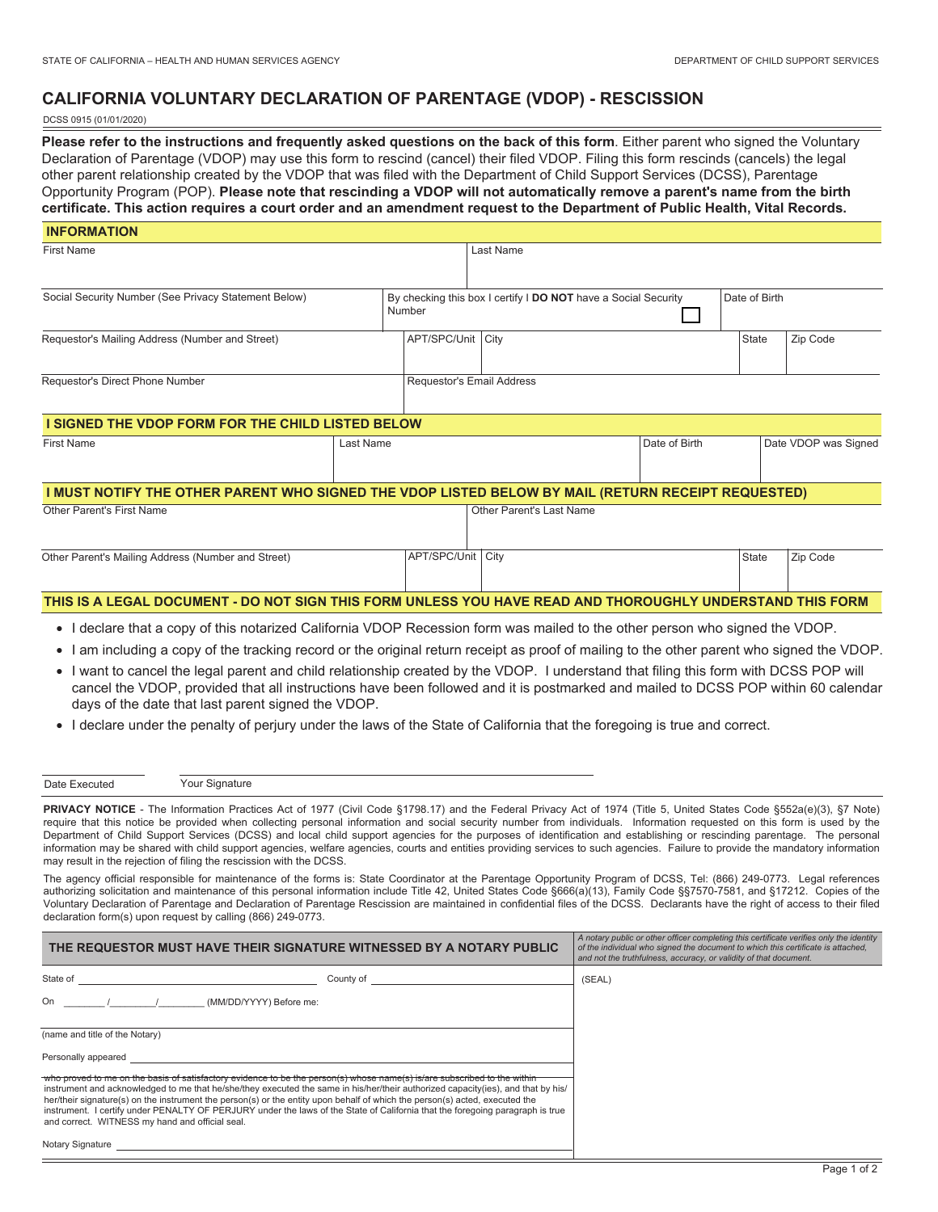## **CALIFORNIA VOLUNTARY DECLARATION OF PARENTAGE (VDOP) - RESCISSION**

#### DCSS 0915 (01/01/2020)

**Please refer to the instructions and frequently asked questions on the back of this form**. Either parent who signed the Voluntary Declaration of Parentage (VDOP) may use this form to rescind (cancel) their filed VDOP. Filing this form rescinds (cancels) the legal other parent relationship created by the VDOP that was filed with the Department of Child Support Services (DCSS), Parentage Opportunity Program (POP). **Please note that rescinding a VDOP will not automatically remove a parent's name from the birth certificate. This action requires a court order and an amendment request to the Department of Public Health, Vital Records.**

| <b>INFORMATION</b>                                                                                        |           |                     |                           |                                                                |               |                      |
|-----------------------------------------------------------------------------------------------------------|-----------|---------------------|---------------------------|----------------------------------------------------------------|---------------|----------------------|
| <b>First Name</b>                                                                                         |           | Last Name           |                           |                                                                |               |                      |
|                                                                                                           |           |                     |                           |                                                                |               |                      |
| Social Security Number (See Privacy Statement Below)<br>Number                                            |           |                     |                           | By checking this box I certify I DO NOT have a Social Security | Date of Birth |                      |
| Requestor's Mailing Address (Number and Street)                                                           |           | APT/SPC/Unit   City |                           |                                                                | <b>State</b>  | Zip Code             |
| Requestor's Direct Phone Number                                                                           |           |                     | Requestor's Email Address |                                                                |               |                      |
| I SIGNED THE VDOP FORM FOR THE CHILD LISTED BELOW                                                         |           |                     |                           |                                                                |               |                      |
| <b>First Name</b>                                                                                         | Last Name |                     |                           | Date of Birth                                                  |               | Date VDOP was Signed |
| I MUST NOTIFY THE OTHER PARENT WHO SIGNED THE VDOP LISTED BELOW BY MAIL (RETURN RECEIPT REQUESTED)        |           |                     |                           |                                                                |               |                      |
| Other Parent's First Name                                                                                 |           |                     | Other Parent's Last Name  |                                                                |               |                      |
| Other Parent's Mailing Address (Number and Street)                                                        |           | APT/SPC/Unit        | City                      |                                                                | <b>State</b>  | Zip Code             |
| THIS IS A LEGAL DOCUMENT - DO NOT SIGN THIS FORM UNLESS YOU HAVE READ AND THOROUGHLY UNDERSTAND THIS FORM |           |                     |                           |                                                                |               |                      |

- I declare that a copy of this notarized California VDOP Recession form was mailed to the other person who signed the VDOP.
- I am including a copy of the tracking record or the original return receipt as proof of mailing to the other parent who signed the VDOP.
- I want to cancel the legal parent and child relationship created by the VDOP. I understand that filing this form with DCSS POP will cancel the VDOP, provided that all instructions have been followed and it is postmarked and mailed to DCSS POP within 60 calendar days of the date that last parent signed the VDOP.
- I declare under the penalty of perjury under the laws of the State of California that the foregoing is true and correct.

| Date Executed | Your Signature |
|---------------|----------------|
|---------------|----------------|

PRIVACY NOTICE - The Information Practices Act of 1977 (Civil Code §1798.17) and the Federal Privacy Act of 1974 (Title 5, United States Code §552a(e)(3), §7 Note) require that this notice be provided when collecting personal information and social security number from individuals. Information requested on this form is used by the Department of Child Support Services (DCSS) and local child support agencies for the purposes of identification and establishing or rescinding parentage. The personal information may be shared with child support agencies, welfare agencies, courts and entities providing services to such agencies. Failure to provide the mandatory information may result in the rejection of filing the rescission with the DCSS.

The agency official responsible for maintenance of the forms is: State Coordinator at the Parentage Opportunity Program of DCSS, Tel: (866) 249-0773. Legal references authorizing solicitation and maintenance of this personal information include Title 42, United States Code §666(a)(13), Family Code §§7570-7581, and §17212. Copies of the Voluntary Declaration of Parentage and Declaration of Parentage Rescission are maintained in confidential files of the DCSS. Declarants have the right of access to their filed declaration form(s) upon request by calling (866) 249-0773.

| THE REQUESTOR MUST HAVE THEIR SIGNATURE WITNESSED BY A NOTARY PUBLIC                                                                                                                                                                                                                                                                                                                                                                                                                                                                                                            | A notary public or other officer completing this certificate verifies only the identity<br>of the individual who signed the document to which this certificate is attached.<br>and not the truthfulness, accuracy, or validity of that document. |        |  |
|---------------------------------------------------------------------------------------------------------------------------------------------------------------------------------------------------------------------------------------------------------------------------------------------------------------------------------------------------------------------------------------------------------------------------------------------------------------------------------------------------------------------------------------------------------------------------------|--------------------------------------------------------------------------------------------------------------------------------------------------------------------------------------------------------------------------------------------------|--------|--|
| State of                                                                                                                                                                                                                                                                                                                                                                                                                                                                                                                                                                        | County of                                                                                                                                                                                                                                        | (SEAL) |  |
| On<br>(MM/DD/YYYY) Before me:                                                                                                                                                                                                                                                                                                                                                                                                                                                                                                                                                   |                                                                                                                                                                                                                                                  |        |  |
| (name and title of the Notary)                                                                                                                                                                                                                                                                                                                                                                                                                                                                                                                                                  |                                                                                                                                                                                                                                                  |        |  |
| Personally appeared                                                                                                                                                                                                                                                                                                                                                                                                                                                                                                                                                             |                                                                                                                                                                                                                                                  |        |  |
| who proved to me on the basis of satisfactory evidence to be the person(s) whose name(s) is/are subscribed to the within<br>instrument and acknowledged to me that he/she/they executed the same in his/her/their authorized capacity(ies), and that by his/<br>her/their signature(s) on the instrument the person(s) or the entity upon behalf of which the person(s) acted, executed the<br>instrument. I certify under PENALTY OF PERJURY under the laws of the State of California that the foregoing paragraph is true<br>and correct. WITNESS my hand and official seal. |                                                                                                                                                                                                                                                  |        |  |
| Notary Signature                                                                                                                                                                                                                                                                                                                                                                                                                                                                                                                                                                |                                                                                                                                                                                                                                                  |        |  |